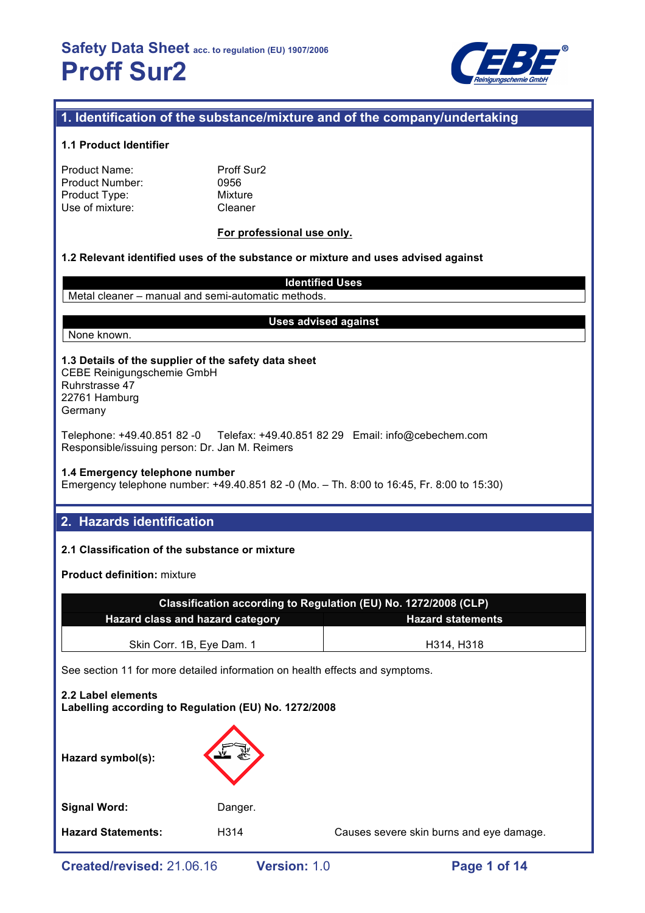

## **1. Identification of the substance/mixture and of the company/undertaking**

#### **1.1 Product Identifier**

| Product Name:   |  |
|-----------------|--|
| Product Number: |  |
| Product Type:   |  |
| Use of mixture: |  |

Proff Sur2 0956 **Mixture** Cleaner

#### **For professional use only.**

#### **1.2 Relevant identified uses of the substance or mixture and uses advised against**

**Identified Uses** Metal cleaner – manual and semi-automatic methods.

#### **Uses advised against**

## None known.

**1.3 Details of the supplier of the safety data sheet** CEBE Reinigungschemie GmbH

Ruhrstrasse 47 22761 Hamburg Germany

Telephone: +49.40.851 82 -0 Telefax: +49.40.851 82 29 Email: info@cebechem.com Responsible/issuing person: Dr. Jan M. Reimers

#### **1.4 Emergency telephone number**

Emergency telephone number: +49.40.851 82 -0 (Mo. – Th. 8:00 to 16:45, Fr. 8:00 to 15:30)

## **2. Hazards identification**

## **2.1 Classification of the substance or mixture**

**Product definition:** mixture

| Classification according to Regulation (EU) No. 1272/2008 (CLP)     |            |  |  |
|---------------------------------------------------------------------|------------|--|--|
| <b>Hazard class and hazard category</b><br><b>Hazard statements</b> |            |  |  |
| Skin Corr. 1B, Eye Dam. 1                                           | H314, H318 |  |  |

See section 11 for more detailed information on health effects and symptoms.

# **2.2 Label elements Labelling according to Regulation (EU) No. 1272/2008 Hazard symbol(s):** Signal Word: Danger. **Hazard Statements:** H314 Causes severe skin burns and eye damage.

**Created/revised:** 21.06.16 **Version:** 1.0 **Page 1 of 14**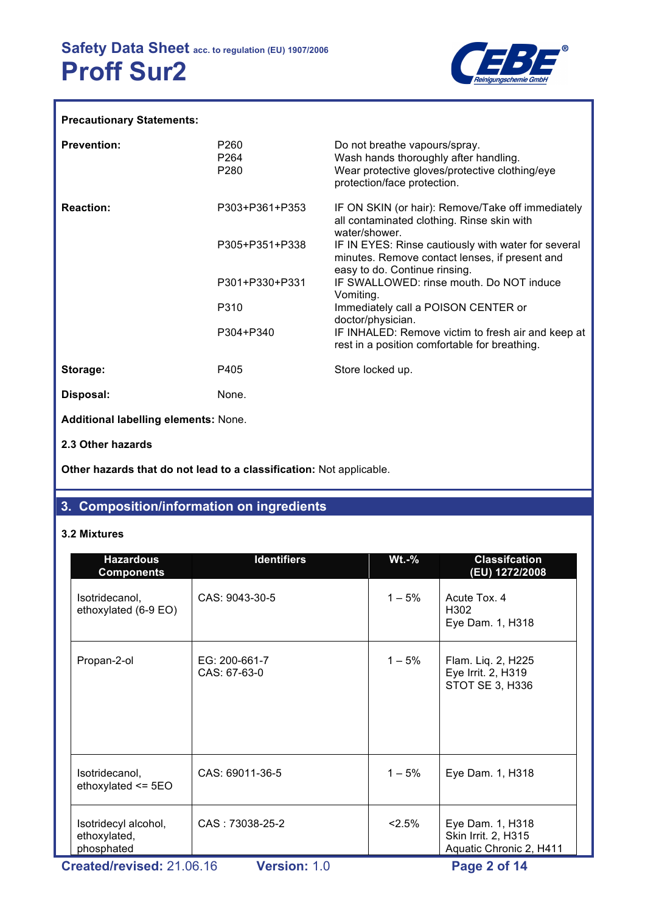

## **Precautionary Statements:**

| <b>Prevention:</b>                   | P260<br>P <sub>264</sub><br>P <sub>280</sub> | Do not breathe vapours/spray.<br>Wash hands thoroughly after handling.<br>Wear protective gloves/protective clothing/eye<br>protection/face protection. |
|--------------------------------------|----------------------------------------------|---------------------------------------------------------------------------------------------------------------------------------------------------------|
| <b>Reaction:</b>                     | P303+P361+P353                               | IF ON SKIN (or hair): Remove/Take off immediately<br>all contaminated clothing. Rinse skin with<br>water/shower.                                        |
|                                      | P305+P351+P338                               | IF IN EYES: Rinse cautiously with water for several<br>minutes. Remove contact lenses, if present and<br>easy to do. Continue rinsing.                  |
|                                      | P301+P330+P331                               | IF SWALLOWED: rinse mouth. Do NOT induce<br>Vomiting.                                                                                                   |
|                                      | P310                                         | Immediately call a POISON CENTER or<br>doctor/physician.                                                                                                |
|                                      | P304+P340                                    | IF INHALED: Remove victim to fresh air and keep at<br>rest in a position comfortable for breathing.                                                     |
| Storage:                             | P405                                         | Store locked up.                                                                                                                                        |
| Disposal:                            | None.                                        |                                                                                                                                                         |
| Additional labelling elements: None. |                                              |                                                                                                                                                         |
| 2.3 Other hazards                    |                                              |                                                                                                                                                         |

**Other hazards that do not lead to a classification:** Not applicable.

## **3. Composition/information on ingredients**

## **3.2 Mixtures**

| <b>Hazardous</b><br><b>Components</b>              | <b>Identifiers</b>            | $Wt.-%$  | <b>Classifcation</b><br>(EU) 1272/2008                             |
|----------------------------------------------------|-------------------------------|----------|--------------------------------------------------------------------|
| Isotridecanol,<br>ethoxylated (6-9 EO)             | CAS: 9043-30-5                | $1 - 5%$ | Acute Tox, 4<br>H <sub>302</sub><br>Eye Dam. 1, H318               |
| Propan-2-ol                                        | EG: 200-661-7<br>CAS: 67-63-0 | $1 - 5%$ | Flam. Liq. 2, H225<br>Eye Irrit. 2, H319<br>STOT SE 3, H336        |
| Isotridecanol,<br>ethoxylated $\le$ 5EO            | CAS: 69011-36-5               | $1 - 5%$ | Eye Dam. 1, H318                                                   |
| Isotridecyl alcohol,<br>ethoxylated,<br>phosphated | CAS: 73038-25-2               | 2.5%     | Eye Dam. 1, H318<br>Skin Irrit. 2, H315<br>Aquatic Chronic 2, H411 |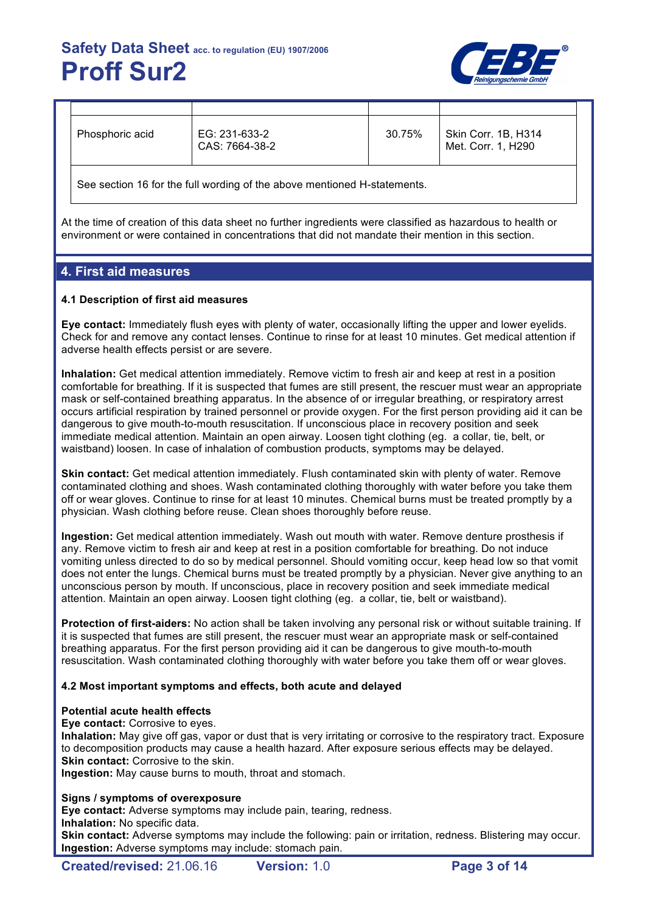

| Phosphoric acid | EG: 231-633-2<br>CAS: 7664-38-2 | 30.75% | Skin Corr. 1B, H314<br>Met. Corr. 1. H290 |
|-----------------|---------------------------------|--------|-------------------------------------------|

See section 16 for the full wording of the above mentioned H-statements.

At the time of creation of this data sheet no further ingredients were classified as hazardous to health or environment or were contained in concentrations that did not mandate their mention in this section.

## **4. First aid measures**

## **4.1 Description of first aid measures**

**Eye contact:** Immediately flush eyes with plenty of water, occasionally lifting the upper and lower eyelids. Check for and remove any contact lenses. Continue to rinse for at least 10 minutes. Get medical attention if adverse health effects persist or are severe.

**Inhalation:** Get medical attention immediately. Remove victim to fresh air and keep at rest in a position comfortable for breathing. If it is suspected that fumes are still present, the rescuer must wear an appropriate mask or self-contained breathing apparatus. In the absence of or irregular breathing, or respiratory arrest occurs artificial respiration by trained personnel or provide oxygen. For the first person providing aid it can be dangerous to give mouth-to-mouth resuscitation. If unconscious place in recovery position and seek immediate medical attention. Maintain an open airway. Loosen tight clothing (eg. a collar, tie, belt, or waistband) loosen. In case of inhalation of combustion products, symptoms may be delayed.

**Skin contact:** Get medical attention immediately. Flush contaminated skin with plenty of water. Remove contaminated clothing and shoes. Wash contaminated clothing thoroughly with water before you take them off or wear gloves. Continue to rinse for at least 10 minutes. Chemical burns must be treated promptly by a physician. Wash clothing before reuse. Clean shoes thoroughly before reuse.

**Ingestion:** Get medical attention immediately. Wash out mouth with water. Remove denture prosthesis if any. Remove victim to fresh air and keep at rest in a position comfortable for breathing. Do not induce vomiting unless directed to do so by medical personnel. Should vomiting occur, keep head low so that vomit does not enter the lungs. Chemical burns must be treated promptly by a physician. Never give anything to an unconscious person by mouth. If unconscious, place in recovery position and seek immediate medical attention. Maintain an open airway. Loosen tight clothing (eg. a collar, tie, belt or waistband).

**Protection of first-aiders:** No action shall be taken involving any personal risk or without suitable training. If it is suspected that fumes are still present, the rescuer must wear an appropriate mask or self-contained breathing apparatus. For the first person providing aid it can be dangerous to give mouth-to-mouth resuscitation. Wash contaminated clothing thoroughly with water before you take them off or wear gloves.

## **4.2 Most important symptoms and effects, both acute and delayed**

## **Potential acute health effects**

**Eye contact:** Corrosive to eyes.

**Inhalation:** May give off gas, vapor or dust that is very irritating or corrosive to the respiratory tract. Exposure to decomposition products may cause a health hazard. After exposure serious effects may be delayed. **Skin contact:** Corrosive to the skin.

**Ingestion:** May cause burns to mouth, throat and stomach.

## **Signs / symptoms of overexposure**

**Eye contact:** Adverse symptoms may include pain, tearing, redness.

**Inhalation:** No specific data.

**Skin contact:** Adverse symptoms may include the following: pain or irritation, redness. Blistering may occur. **Ingestion:** Adverse symptoms may include: stomach pain.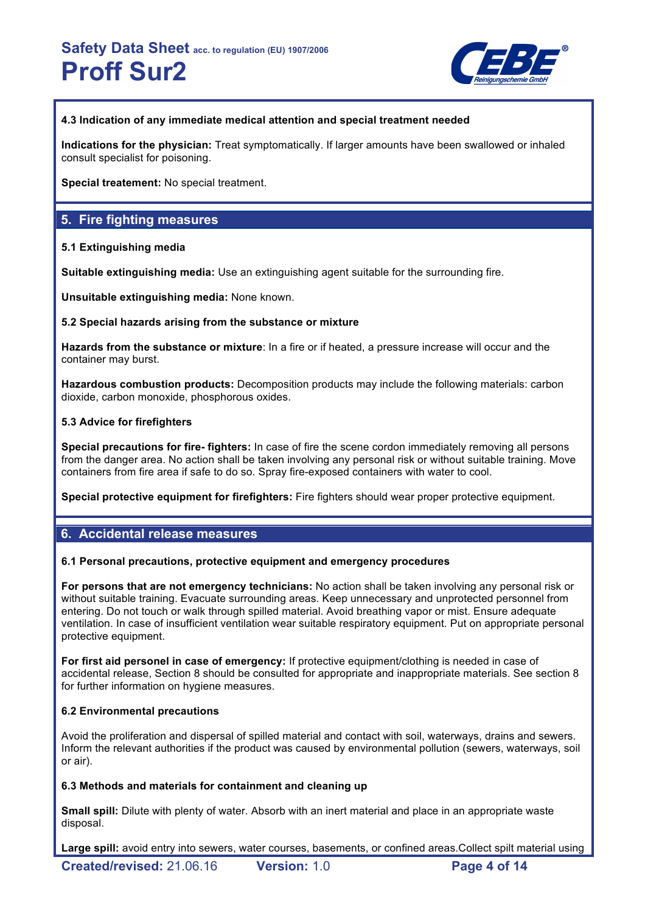

## **4.3 Indication of any immediate medical attention and special treatment needed**

**Indications for the physician:** Treat symptomatically. If larger amounts have been swallowed or inhaled consult specialist for poisoning.

**Special treatement:** No special treatment.

## **5. Fire fighting measures**

## **5.1 Extinguishing media**

**Suitable extinguishing media:** Use an extinguishing agent suitable for the surrounding fire.

**Unsuitable extinguishing media:** None known.

## **5.2 Special hazards arising from the substance or mixture**

**Hazards from the substance or mixture**: In a fire or if heated, a pressure increase will occur and the container may burst.

**Hazardous combustion products:** Decomposition products may include the following materials: carbon dioxide, carbon monoxide, phosphorous oxides.

## **5.3 Advice for firefighters**

**Special precautions for fire- fighters:** In case of fire the scene cordon immediately removing all persons from the danger area. No action shall be taken involving any personal risk or without suitable training. Move containers from fire area if safe to do so. Spray fire-exposed containers with water to cool.

**Special protective equipment for firefighters:** Fire fighters should wear proper protective equipment.

## **6. Accidental release measures**

## **6.1 Personal precautions, protective equipment and emergency procedures**

**For persons that are not emergency technicians:** No action shall be taken involving any personal risk or without suitable training. Evacuate surrounding areas. Keep unnecessary and unprotected personnel from entering. Do not touch or walk through spilled material. Avoid breathing vapor or mist. Ensure adequate ventilation. In case of insufficient ventilation wear suitable respiratory equipment. Put on appropriate personal protective equipment.

**For first aid personel in case of emergency:** If protective equipment/clothing is needed in case of accidental release, Section 8 should be consulted for appropriate and inappropriate materials. See section 8 for further information on hygiene measures.

## **6.2 Environmental precautions**

Avoid the proliferation and dispersal of spilled material and contact with soil, waterways, drains and sewers. Inform the relevant authorities if the product was caused by environmental pollution (sewers, waterways, soil or air).

## **6.3 Methods and materials for containment and cleaning up**

**Small spill:** Dilute with plenty of water. Absorb with an inert material and place in an appropriate waste disposal.

**Large spill:** avoid entry into sewers, water courses, basements, or confined areas.Collect spilt material using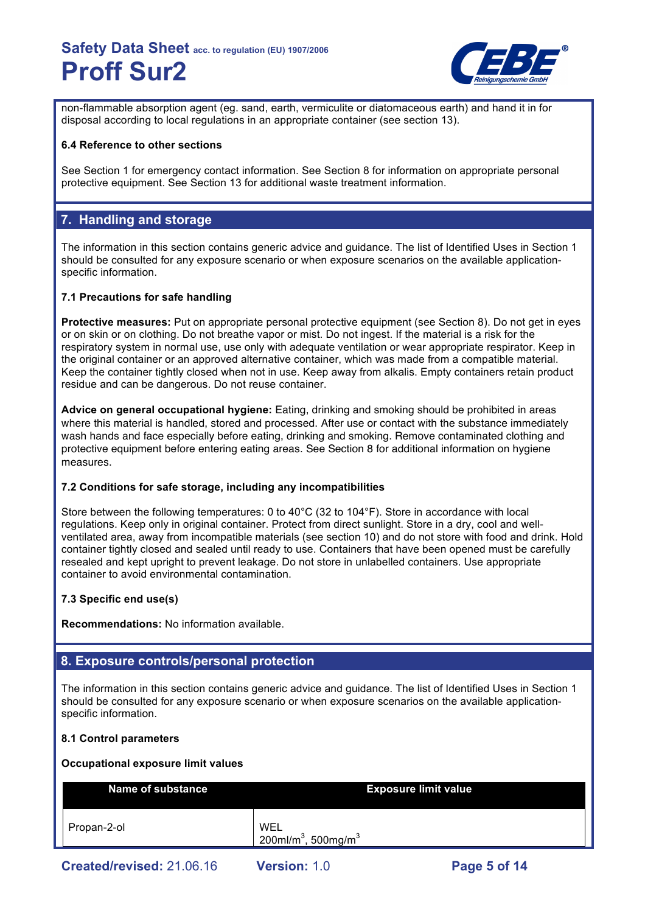

non-flammable absorption agent (eg. sand, earth, vermiculite or diatomaceous earth) and hand it in for disposal according to local regulations in an appropriate container (see section 13).

## **6.4 Reference to other sections**

See Section 1 for emergency contact information. See Section 8 for information on appropriate personal protective equipment. See Section 13 for additional waste treatment information.

## **7. Handling and storage**

The information in this section contains generic advice and guidance. The list of Identified Uses in Section 1 should be consulted for any exposure scenario or when exposure scenarios on the available applicationspecific information.

## **7.1 Precautions for safe handling**

**Protective measures:** Put on appropriate personal protective equipment (see Section 8). Do not get in eyes or on skin or on clothing. Do not breathe vapor or mist. Do not ingest. If the material is a risk for the respiratory system in normal use, use only with adequate ventilation or wear appropriate respirator. Keep in the original container or an approved alternative container, which was made from a compatible material. Keep the container tightly closed when not in use. Keep away from alkalis. Empty containers retain product residue and can be dangerous. Do not reuse container.

**Advice on general occupational hygiene:** Eating, drinking and smoking should be prohibited in areas where this material is handled, stored and processed. After use or contact with the substance immediately wash hands and face especially before eating, drinking and smoking. Remove contaminated clothing and protective equipment before entering eating areas. See Section 8 for additional information on hygiene measures.

## **7.2 Conditions for safe storage, including any incompatibilities**

Store between the following temperatures: 0 to 40°C (32 to 104°F). Store in accordance with local regulations. Keep only in original container. Protect from direct sunlight. Store in a dry, cool and wellventilated area, away from incompatible materials (see section 10) and do not store with food and drink. Hold container tightly closed and sealed until ready to use. Containers that have been opened must be carefully resealed and kept upright to prevent leakage. Do not store in unlabelled containers. Use appropriate container to avoid environmental contamination.

## **7.3 Specific end use(s)**

**Recommendations:** No information available.

## **8. Exposure controls/personal protection**

The information in this section contains generic advice and guidance. The list of Identified Uses in Section 1 should be consulted for any exposure scenario or when exposure scenarios on the available applicationspecific information.

## **8.1 Control parameters**

## **Occupational exposure limit values**

| Name of substance         |                                                    | <b>Exposure limit value</b> |  |  |
|---------------------------|----------------------------------------------------|-----------------------------|--|--|
| Propan-2-ol               | WEL<br>200ml/m <sup>3</sup> , 500mg/m <sup>3</sup> |                             |  |  |
| Created/revised: 21.06.16 | <b>Version: 1.0</b>                                | Page 5 of 14                |  |  |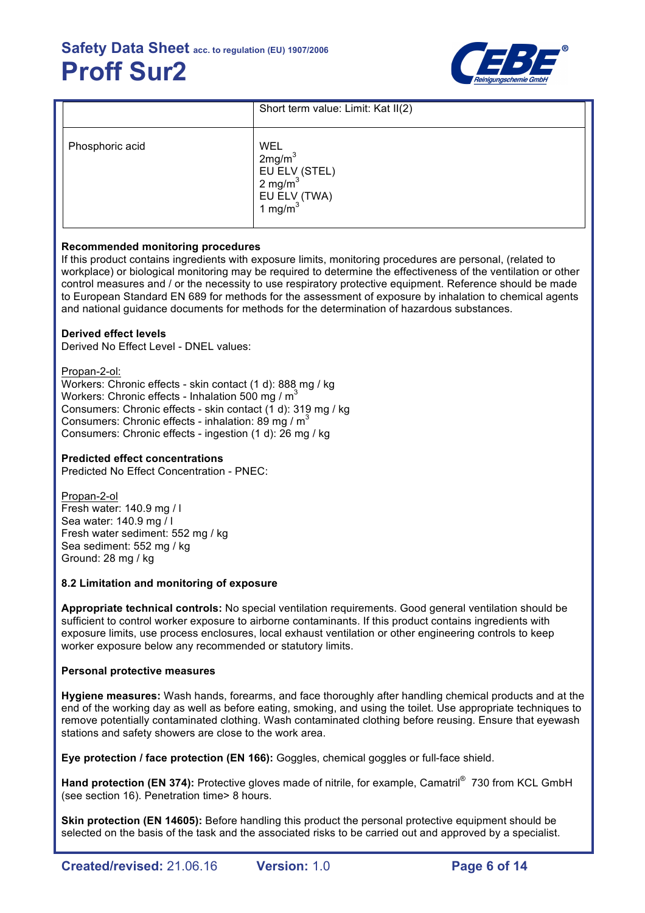

|                 | Short term value: Limit: Kat II(2)                                                                       |
|-----------------|----------------------------------------------------------------------------------------------------------|
| Phosphoric acid | WEL<br>2mg/m <sup>3</sup><br>EU ELV (STEL)<br>2 mg/m <sup>3</sup><br>EU ELV (TWA)<br>1 mg/m <sup>3</sup> |

## **Recommended monitoring procedures**

If this product contains ingredients with exposure limits, monitoring procedures are personal, (related to workplace) or biological monitoring may be required to determine the effectiveness of the ventilation or other control measures and / or the necessity to use respiratory protective equipment. Reference should be made to European Standard EN 689 for methods for the assessment of exposure by inhalation to chemical agents and national guidance documents for methods for the determination of hazardous substances.

## **Derived effect levels**

Derived No Effect Level - DNEL values:

Propan-2-ol:

Workers: Chronic effects - skin contact (1 d): 888 mg / kg Workers: Chronic effects - Inhalation 500 mg /  $m<sup>3</sup>$ Consumers: Chronic effects - skin contact (1 d): 319 mg / kg Consumers: Chronic effects - inhalation: 89 mg /  $m<sup>3</sup>$ Consumers: Chronic effects - ingestion (1 d): 26 mg / kg

## **Predicted effect concentrations**

Predicted No Effect Concentration - PNEC:

Propan-2-ol Fresh water: 140.9 mg / l Sea water: 140.9 mg / l Fresh water sediment: 552 mg / kg Sea sediment: 552 mg / kg Ground: 28 mg / kg

## **8.2 Limitation and monitoring of exposure**

**Appropriate technical controls:** No special ventilation requirements. Good general ventilation should be sufficient to control worker exposure to airborne contaminants. If this product contains ingredients with exposure limits, use process enclosures, local exhaust ventilation or other engineering controls to keep worker exposure below any recommended or statutory limits.

## **Personal protective measures**

**Hygiene measures:** Wash hands, forearms, and face thoroughly after handling chemical products and at the end of the working day as well as before eating, smoking, and using the toilet. Use appropriate techniques to remove potentially contaminated clothing. Wash contaminated clothing before reusing. Ensure that eyewash stations and safety showers are close to the work area.

**Eye protection / face protection (EN 166):** Goggles, chemical goggles or full-face shield.

Hand protection (EN 374): Protective gloves made of nitrile, for example, Camatril<sup>®</sup> 730 from KCL GmbH (see section 16). Penetration time> 8 hours.

**Skin protection (EN 14605):** Before handling this product the personal protective equipment should be selected on the basis of the task and the associated risks to be carried out and approved by a specialist.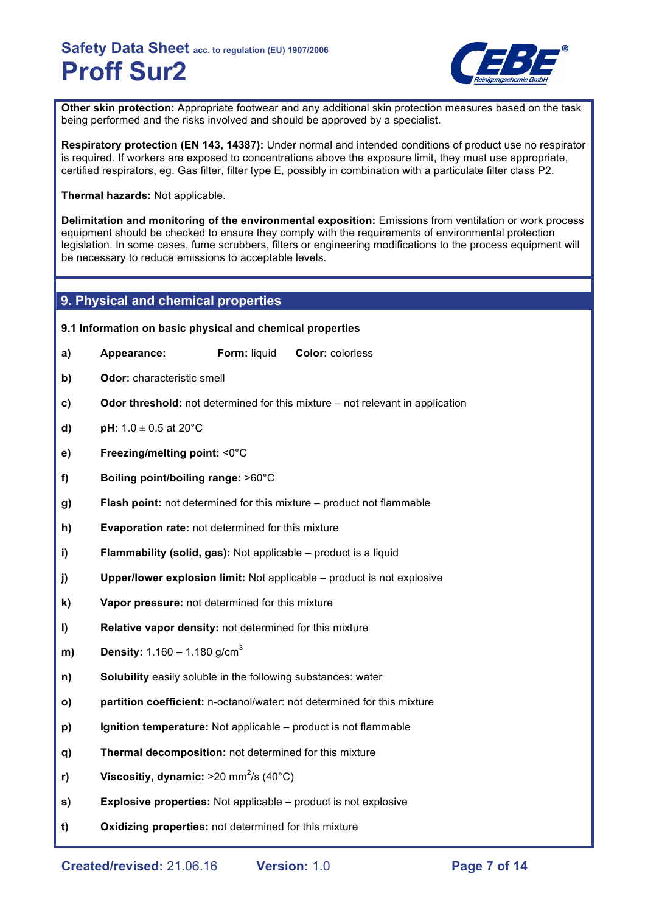

**Other skin protection:** Appropriate footwear and any additional skin protection measures based on the task being performed and the risks involved and should be approved by a specialist.

**Respiratory protection (EN 143, 14387):** Under normal and intended conditions of product use no respirator is required. If workers are exposed to concentrations above the exposure limit, they must use appropriate, certified respirators, eg. Gas filter, filter type E, possibly in combination with a particulate filter class P2.

**Thermal hazards:** Not applicable.

**Delimitation and monitoring of the environmental exposition:** Emissions from ventilation or work process equipment should be checked to ensure they comply with the requirements of environmental protection legislation. In some cases, fume scrubbers, filters or engineering modifications to the process equipment will be necessary to reduce emissions to acceptable levels.

## **9. Physical and chemical properties**

## **9.1 Information on basic physical and chemical properties**

- **a) Appearance: Form:** liquid **Color:** colorless
- **b) Odor:** characteristic smell
- **c) Odor threshold:** not determined for this mixture not relevant in application
- **d) pH:**  $1.0 \pm 0.5$  at  $20^{\circ}$ C
- **e) Freezing/melting point:** <0°C
- **f) Boiling point/boiling range:** >60°C
- **g) Flash point:** not determined for this mixture product not flammable
- **h) Evaporation rate:** not determined for this mixture
- **i) Flammability (solid, gas):** Not applicable product is a liquid
- **j) Upper/lower explosion limit:** Not applicable product is not explosive
- **k) Vapor pressure:** not determined for this mixture
- **l) Relative vapor density:** not determined for this mixture
- **m) Density:** 1.160 1.180 g/cm<sup>3</sup>
- **n) Solubility** easily soluble in the following substances: water
- **o) partition coefficient:** n-octanol/water: not determined for this mixture
- **p) Ignition temperature:** Not applicable product is not flammable
- **q) Thermal decomposition:** not determined for this mixture
- **r) Viscositiy, dynamic:** >20 mm<sup>2</sup>/s (40°C)
- **s) Explosive properties:** Not applicable product is not explosive
- **t) Oxidizing properties:** not determined for this mixture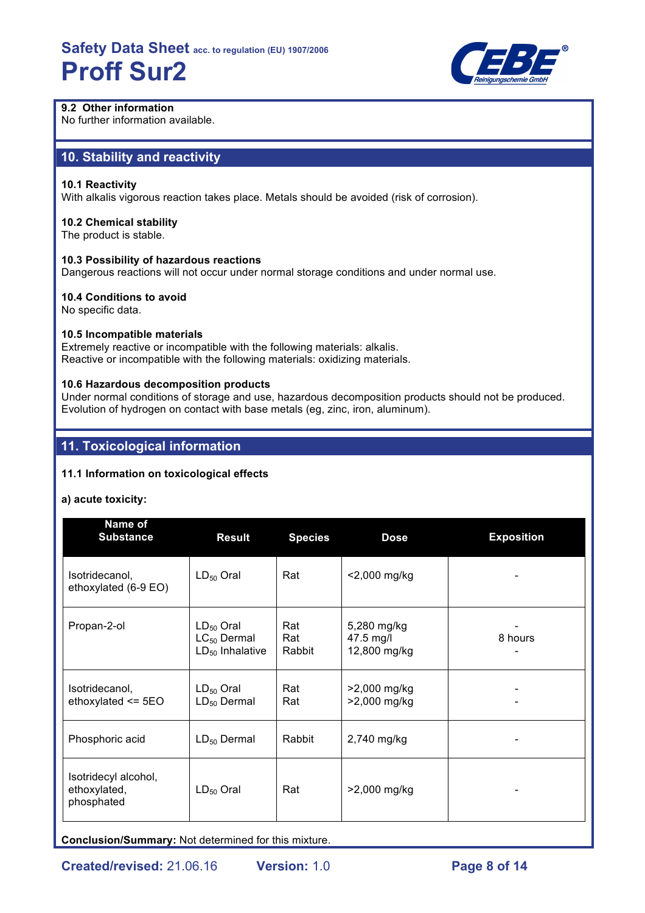

## **9.2 Other information**

No further information available.

## **10. Stability and reactivity**

## **10.1 Reactivity**

With alkalis vigorous reaction takes place. Metals should be avoided (risk of corrosion).

#### **10.2 Chemical stability**

The product is stable.

## **10.3 Possibility of hazardous reactions**

Dangerous reactions will not occur under normal storage conditions and under normal use.

## **10.4 Conditions to avoid**

No specific data.

## **10.5 Incompatible materials**

Extremely reactive or incompatible with the following materials: alkalis. Reactive or incompatible with the following materials: oxidizing materials.

#### **10.6 Hazardous decomposition products**

Under normal conditions of storage and use, hazardous decomposition products should not be produced. Evolution of hydrogen on contact with base metals (eg, zinc, iron, aluminum).

## **11. Toxicological information**

## **11.1 Information on toxicological effects**

#### **a) acute toxicity:**

| Name of<br><b>Substance</b>                        | <b>Result</b>                                              | <b>Species</b>       | <b>Dose</b>                              | <b>Exposition</b> |
|----------------------------------------------------|------------------------------------------------------------|----------------------|------------------------------------------|-------------------|
| Isotridecanol,<br>ethoxylated (6-9 EO)             | $LD_{50}$ Oral                                             | Rat                  | <2,000 mg/kg                             |                   |
| Propan-2-ol                                        | $LD_{50}$ Oral<br>$LC_{50}$ Dermal<br>$LD_{50}$ Inhalative | Rat<br>Rat<br>Rabbit | 5,280 mg/kg<br>47.5 mg/l<br>12,800 mg/kg | 8 hours           |
| Isotridecanol,<br>ethoxylated $\le$ 5EO            | $LD_{50}$ Oral<br>$LD_{50}$ Dermal                         | Rat<br>Rat           | >2,000 mg/kg<br>>2,000 mg/kg             |                   |
| Phosphoric acid                                    | $LD_{50}$ Dermal                                           | Rabbit               | 2,740 mg/kg                              |                   |
| Isotridecyl alcohol,<br>ethoxylated,<br>phosphated | $LD_{50}$ Oral                                             | Rat                  | >2,000 mg/kg                             |                   |

**Conclusion/Summary:** Not determined for this mixture.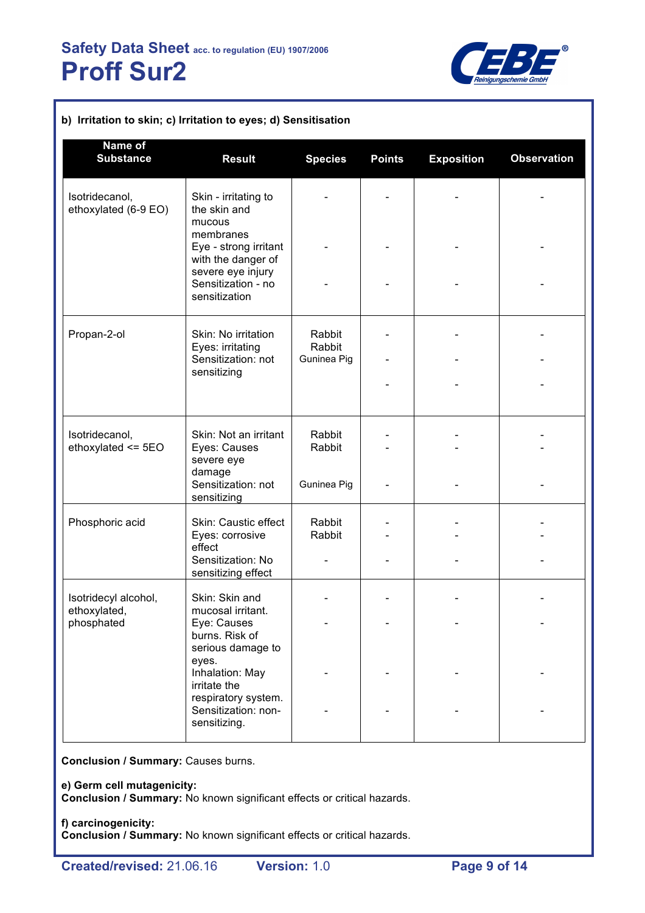

| b) Irritation to skin; c) Irritation to eyes; d) Sensitisation |                                                                               |                  |               |                   |                    |
|----------------------------------------------------------------|-------------------------------------------------------------------------------|------------------|---------------|-------------------|--------------------|
| Name of<br><b>Substance</b>                                    | <b>Result</b>                                                                 | <b>Species</b>   | <b>Points</b> | <b>Exposition</b> | <b>Observation</b> |
| Isotridecanol,<br>ethoxylated (6-9 EO)                         | Skin - irritating to<br>the skin and<br>mucous                                |                  |               |                   |                    |
|                                                                | membranes<br>Eye - strong irritant<br>with the danger of<br>severe eye injury |                  |               |                   |                    |
|                                                                | Sensitization - no<br>sensitization                                           |                  |               |                   |                    |
| Propan-2-ol                                                    | Skin: No irritation                                                           | Rabbit<br>Rabbit |               |                   |                    |
|                                                                | Eyes: irritating<br>Sensitization: not<br>sensitizing                         | Guninea Pig      |               |                   |                    |
|                                                                |                                                                               |                  |               |                   |                    |
| Isotridecanol,<br>ethoxylated $\le$ 5EO                        | Skin: Not an irritant<br>Eyes: Causes<br>severe eye                           | Rabbit<br>Rabbit |               |                   |                    |
|                                                                | damage<br>Sensitization: not<br>sensitizing                                   | Guninea Pig      |               |                   |                    |
| Phosphoric acid                                                | Skin: Caustic effect<br>Eyes: corrosive                                       | Rabbit<br>Rabbit |               |                   |                    |
|                                                                | effect<br>Sensitization: No<br>sensitizing effect                             |                  |               |                   |                    |
| Isotridecyl alcohol,<br>ethoxylated,                           | Skin: Skin and<br>mucosal irritant.                                           |                  |               |                   |                    |
| phosphated                                                     | Eye: Causes<br>burns. Risk of<br>serious damage to                            |                  |               |                   |                    |
|                                                                | eyes.<br>Inhalation: May<br>irritate the                                      |                  |               |                   |                    |
|                                                                | respiratory system.<br>Sensitization: non-<br>sensitizing.                    |                  |               |                   |                    |

**Conclusion / Summary:** Causes burns.

**e) Germ cell mutagenicity:**

**Conclusion / Summary:** No known significant effects or critical hazards.

**f) carcinogenicity: Conclusion / Summary:** No known significant effects or critical hazards.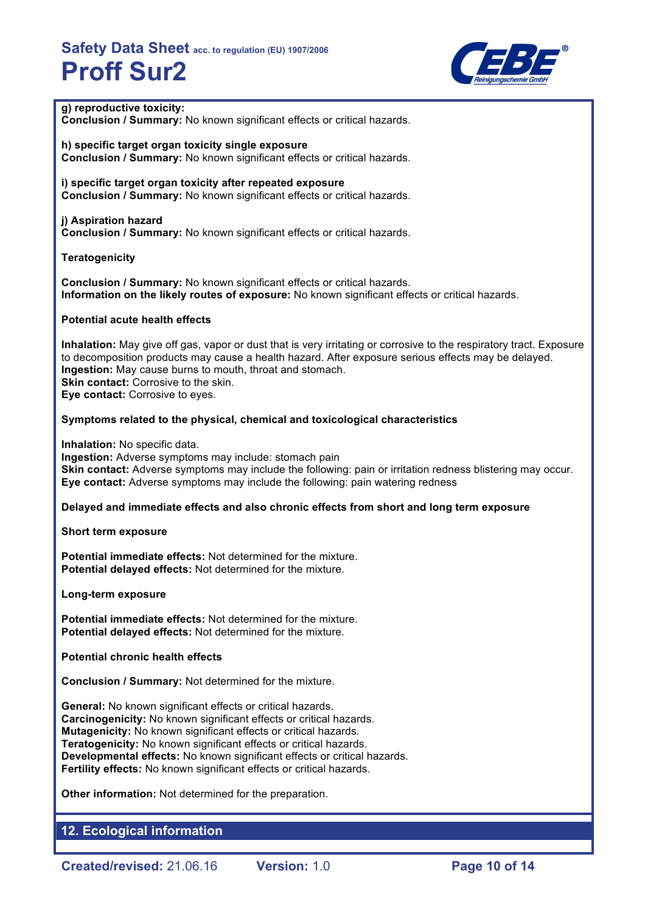

## **g) reproductive toxicity:**

**Conclusion / Summary:** No known significant effects or critical hazards.

**h) specific target organ toxicity single exposure Conclusion / Summary:** No known significant effects or critical hazards.

**i) specific target organ toxicity after repeated exposure Conclusion / Summary:** No known significant effects or critical hazards.

#### **j) Aspiration hazard**

**Conclusion / Summary:** No known significant effects or critical hazards.

#### **Teratogenicity**

**Conclusion / Summary:** No known significant effects or critical hazards. **Information on the likely routes of exposure:** No known significant effects or critical hazards.

#### **Potential acute health effects**

**Inhalation:** May give off gas, vapor or dust that is very irritating or corrosive to the respiratory tract. Exposure to decomposition products may cause a health hazard. After exposure serious effects may be delayed. **Ingestion:** May cause burns to mouth, throat and stomach. **Skin contact:** Corrosive to the skin. **Eye contact:** Corrosive to eyes.

#### **Symptoms related to the physical, chemical and toxicological characteristics**

**Inhalation:** No specific data.

**Ingestion:** Adverse symptoms may include: stomach pain **Skin contact:** Adverse symptoms may include the following: pain or irritation redness blistering may occur. **Eye contact:** Adverse symptoms may include the following: pain watering redness

#### **Delayed and immediate effects and also chronic effects from short and long term exposure**

**Short term exposure**

**Potential immediate effects:** Not determined for the mixture. **Potential delayed effects:** Not determined for the mixture.

**Long-term exposure**

**Potential immediate effects:** Not determined for the mixture. **Potential delayed effects:** Not determined for the mixture.

#### **Potential chronic health effects**

**Conclusion / Summary:** Not determined for the mixture.

**General:** No known significant effects or critical hazards. **Carcinogenicity:** No known significant effects or critical hazards. **Mutagenicity:** No known significant effects or critical hazards. **Teratogenicity:** No known significant effects or critical hazards. **Developmental effects:** No known significant effects or critical hazards. **Fertility effects:** No known significant effects or critical hazards.

**Other information:** Not determined for the preparation.

## **12. Ecological information**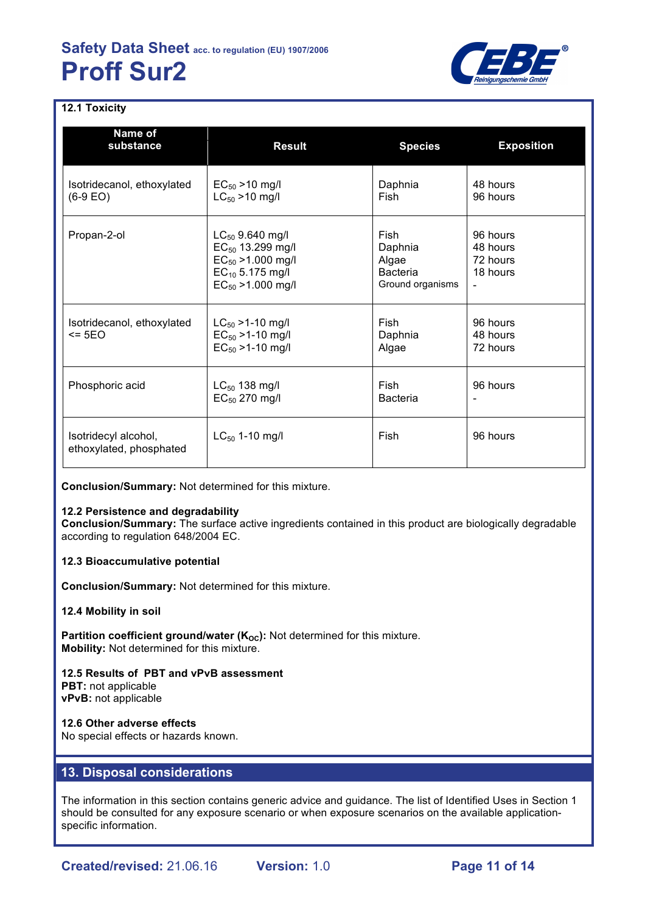

## **12.1 Toxicity**

| Name of<br>substance                            | <b>Result</b>                                                                                                           | <b>Species</b>                                                  | <b>Exposition</b>                            |
|-------------------------------------------------|-------------------------------------------------------------------------------------------------------------------------|-----------------------------------------------------------------|----------------------------------------------|
| Isotridecanol, ethoxylated<br>$(6-9)$ EO)       | $EC_{50} > 10$ mg/l<br>$LC_{50}$ > 10 mg/l                                                                              | Daphnia<br>Fish                                                 | 48 hours<br>96 hours                         |
| Propan-2-ol                                     | $LC_{50}$ 9.640 mg/l<br>$EC_{50}$ 13.299 mg/l<br>$EC_{50}$ >1.000 mg/l<br>$EC_{10}$ 5.175 mg/l<br>$EC_{50}$ >1.000 mg/l | Fish<br>Daphnia<br>Algae<br><b>Bacteria</b><br>Ground organisms | 96 hours<br>48 hours<br>72 hours<br>18 hours |
| Isotridecanol, ethoxylated<br>$\leq$ 5EO        | $LC_{50}$ >1-10 mg/l<br>$EC_{50}$ >1-10 mg/l<br>$EC_{50}$ >1-10 mg/l                                                    | <b>Fish</b><br>Daphnia<br>Algae                                 | 96 hours<br>48 hours<br>72 hours             |
| Phosphoric acid                                 | $LC_{50}$ 138 mg/l<br>$EC_{50}$ 270 mg/l                                                                                | Fish<br><b>Bacteria</b>                                         | 96 hours                                     |
| Isotridecyl alcohol,<br>ethoxylated, phosphated | $LC_{50}$ 1-10 mg/l                                                                                                     | Fish                                                            | 96 hours                                     |

**Conclusion/Summary:** Not determined for this mixture.

## **12.2 Persistence and degradability**

**Conclusion/Summary:** The surface active ingredients contained in this product are biologically degradable according to regulation 648/2004 EC.

#### **12.3 Bioaccumulative potential**

**Conclusion/Summary:** Not determined for this mixture.

#### **12.4 Mobility in soil**

**Partition coefficient ground/water (K<sub>OC</sub>):** Not determined for this mixture. **Mobility:** Not determined for this mixture.

**12.5 Results of PBT and vPvB assessment PBT:** not applicable **vPvB:** not applicable

## **12.6 Other adverse effects**

No special effects or hazards known.

## **13. Disposal considerations**

The information in this section contains generic advice and guidance. The list of Identified Uses in Section 1 should be consulted for any exposure scenario or when exposure scenarios on the available applicationspecific information.

**Created/revised:** 21.06.16 **Version:** 1.0 **Page 11 of 14**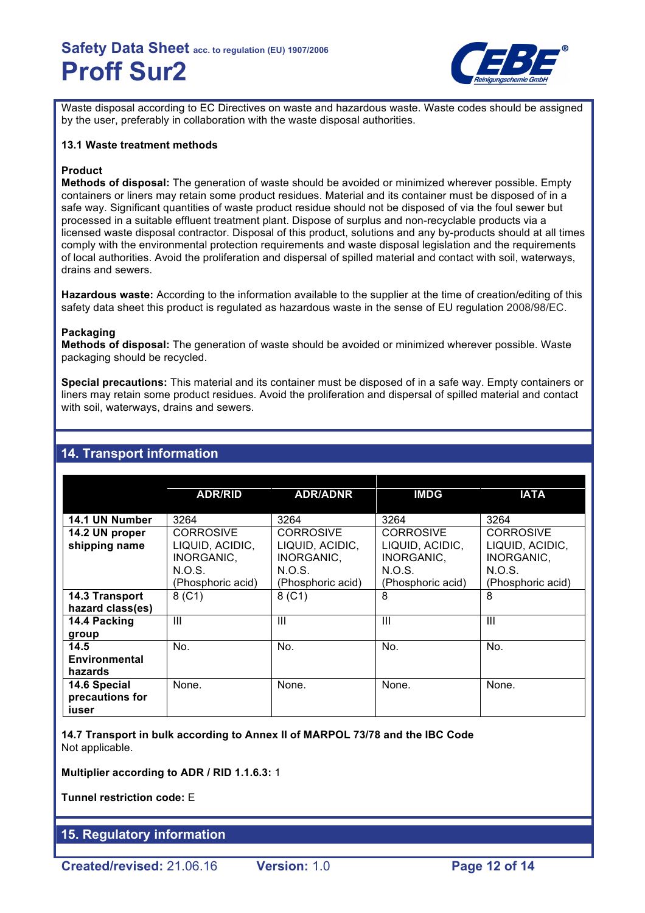

Waste disposal according to EC Directives on waste and hazardous waste. Waste codes should be assigned by the user, preferably in collaboration with the waste disposal authorities.

#### **13.1 Waste treatment methods**

## **Product**

**Methods of disposal:** The generation of waste should be avoided or minimized wherever possible. Empty containers or liners may retain some product residues. Material and its container must be disposed of in a safe way. Significant quantities of waste product residue should not be disposed of via the foul sewer but processed in a suitable effluent treatment plant. Dispose of surplus and non-recyclable products via a licensed waste disposal contractor. Disposal of this product, solutions and any by-products should at all times comply with the environmental protection requirements and waste disposal legislation and the requirements of local authorities. Avoid the proliferation and dispersal of spilled material and contact with soil, waterways, drains and sewers.

**Hazardous waste:** According to the information available to the supplier at the time of creation/editing of this safety data sheet this product is regulated as hazardous waste in the sense of EU regulation 2008/98/EC.

## **Packaging**

**Methods of disposal:** The generation of waste should be avoided or minimized wherever possible. Waste packaging should be recycled.

**Special precautions:** This material and its container must be disposed of in a safe way. Empty containers or liners may retain some product residues. Avoid the proliferation and dispersal of spilled material and contact with soil, waterways, drains and sewers.

## **14. Transport information**

|                                          | <b>ADR/RID</b>                                               | <b>ADR/ADNR</b>                                              | <b>IMDG</b>                                                  | <b>IATA</b>                                                  |
|------------------------------------------|--------------------------------------------------------------|--------------------------------------------------------------|--------------------------------------------------------------|--------------------------------------------------------------|
| 14.1 UN Number                           | 3264                                                         | 3264                                                         | 3264                                                         | 3264                                                         |
| 14.2 UN proper                           | <b>CORROSIVE</b>                                             | <b>CORROSIVE</b>                                             | <b>CORROSIVE</b>                                             | <b>CORROSIVE</b>                                             |
| shipping name                            | LIQUID, ACIDIC,<br>INORGANIC,<br>N.O.S.<br>(Phosphoric acid) | LIQUID, ACIDIC,<br>INORGANIC,<br>N.O.S.<br>(Phosphoric acid) | LIQUID, ACIDIC,<br>INORGANIC,<br>N.O.S.<br>(Phosphoric acid) | LIQUID, ACIDIC,<br>INORGANIC,<br>N.O.S.<br>(Phosphoric acid) |
|                                          |                                                              | 8 (C1)                                                       | 8                                                            | 8                                                            |
| 14.3 Transport<br>hazard class(es)       | $8($ C1)                                                     |                                                              |                                                              |                                                              |
| 14.4 Packing<br>group                    | Ш                                                            | Ш                                                            | Ш                                                            | Ш                                                            |
| 14.5                                     | No.                                                          | No.                                                          | No.                                                          | No.                                                          |
| Environmental                            |                                                              |                                                              |                                                              |                                                              |
| hazards                                  |                                                              |                                                              |                                                              |                                                              |
| 14.6 Special<br>precautions for<br>iuser | None.                                                        | None.                                                        | None.                                                        | None.                                                        |

**14.7 Transport in bulk according to Annex II of MARPOL 73/78 and the IBC Code** Not applicable.

**Multiplier according to ADR / RID 1.1.6.3:** 1

**Tunnel restriction code:** E

## **15. Regulatory information**

**Created/revised:** 21.06.16 **Version:** 1.0 **Page 12 of 14**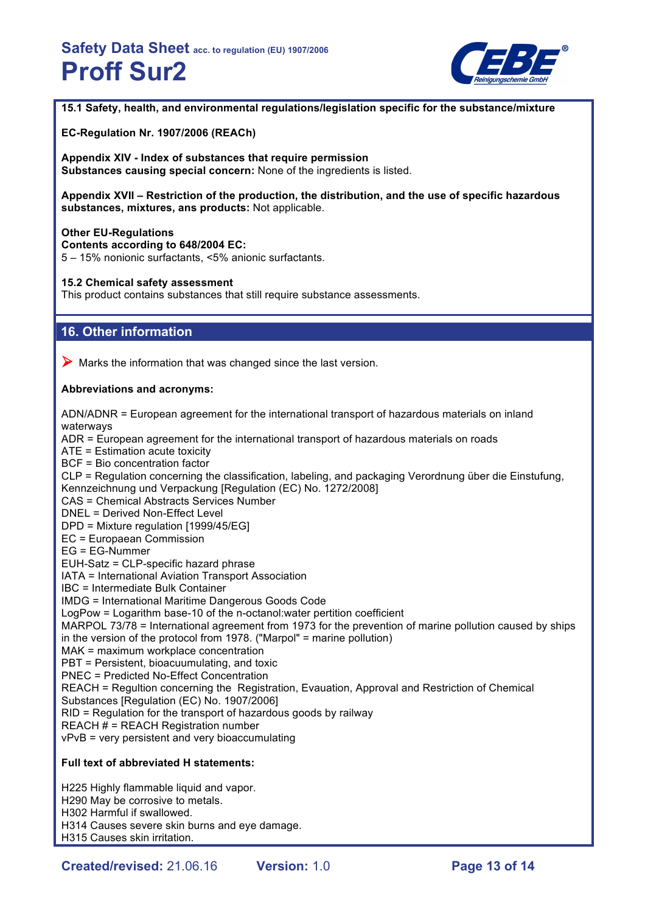

**15.1 Safety, health, and environmental regulations/legislation specific for the substance/mixture**

**EC-Regulation Nr. 1907/2006 (REACh)**

**Appendix XIV - Index of substances that require permission Substances causing special concern:** None of the ingredients is listed.

**Appendix XVII – Restriction of the production, the distribution, and the use of specific hazardous substances, mixtures, ans products:** Not applicable.

#### **Other EU-Regulations**

**Contents according to 648/2004 EC:**

5 – 15% nonionic surfactants, <5% anionic surfactants.

#### **15.2 Chemical safety assessment**

This product contains substances that still require substance assessments.

## **16. Other information**

 $\triangleright$  Marks the information that was changed since the last version.

#### **Abbreviations and acronyms:**

ADN/ADNR = European agreement for the international transport of hazardous materials on inland waterways

ADR = European agreement for the international transport of hazardous materials on roads

ATE = Estimation acute toxicity

BCF = Bio concentration factor

CLP = Regulation concerning the classification, labeling, and packaging Verordnung über die Einstufung, Kennzeichnung und Verpackung [Regulation (EC) No. 1272/2008]

CAS = Chemical Abstracts Services Number

DNEL = Derived Non-Effect Level

DPD = Mixture regulation [1999/45/EG]

EC = Europaean Commission

EG = EG-Nummer

EUH-Satz = CLP-specific hazard phrase

IATA = International Aviation Transport Association

IBC = Intermediate Bulk Container

IMDG = International Maritime Dangerous Goods Code

LogPow = Logarithm base-10 of the n-octanol:water pertition coefficient

MARPOL 73/78 = International agreement from 1973 for the prevention of marine pollution caused by ships in the version of the protocol from 1978. ("Marpol" = marine pollution)

MAK = maximum workplace concentration

PBT = Persistent, bioacuumulating, and toxic

PNEC = Predicted No-Effect Concentration

REACH = Regultion concerning the Registration, Evauation, Approval and Restriction of Chemical

Substances [Regulation (EC) No. 1907/2006]

RID = Regulation for the transport of hazardous goods by railway

REACH  $#$  = REACH Registration number

vPvB = very persistent and very bioaccumulating

## **Full text of abbreviated H statements:**

H225 Highly flammable liquid and vapor. H290 May be corrosive to metals. H302 Harmful if swallowed. H314 Causes severe skin burns and eye damage. H315 Causes skin irritation.